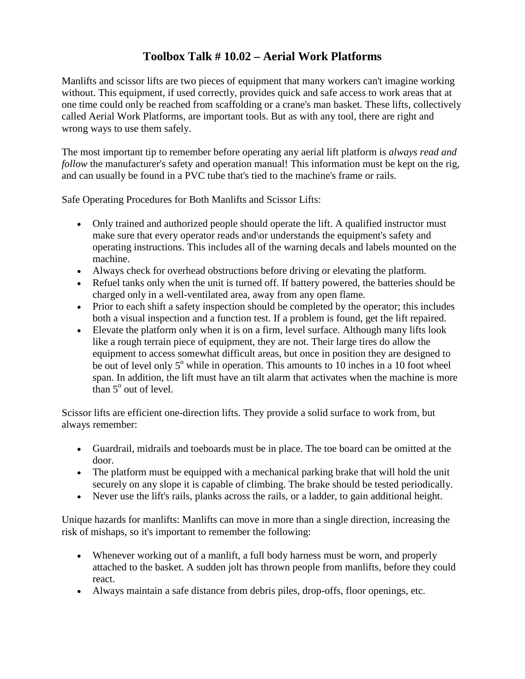## **Toolbox Talk # 10.02 – Aerial Work Platforms**

Manlifts and scissor lifts are two pieces of equipment that many workers can't imagine working without. This equipment, if used correctly, provides quick and safe access to work areas that at one time could only be reached from scaffolding or a crane's man basket. These lifts, collectively called Aerial Work Platforms, are important tools. But as with any tool, there are right and wrong ways to use them safely.

The most important tip to remember before operating any aerial lift platform is *always read and follow* the manufacturer's safety and operation manual! This information must be kept on the rig, and can usually be found in a PVC tube that's tied to the machine's frame or rails.

Safe Operating Procedures for Both Manlifts and Scissor Lifts:

- Only trained and authorized people should operate the lift. A qualified instructor must make sure that every operator reads and\or understands the equipment's safety and operating instructions. This includes all of the warning decals and labels mounted on the machine.
- Always check for overhead obstructions before driving or elevating the platform.
- Refuel tanks only when the unit is turned off. If battery powered, the batteries should be charged only in a well-ventilated area, away from any open flame.
- Prior to each shift a safety inspection should be completed by the operator; this includes both a visual inspection and a function test. If a problem is found, get the lift repaired.
- Elevate the platform only when it is on a firm, level surface. Although many lifts look like a rough terrain piece of equipment, they are not. Their large tires do allow the equipment to access somewhat difficult areas, but once in position they are designed to be out of level only  $5^\circ$  while in operation. This amounts to 10 inches in a 10 foot wheel span. In addition, the lift must have an tilt alarm that activates when the machine is more than  $5^\circ$  out of level.

Scissor lifts are efficient one-direction lifts. They provide a solid surface to work from, but always remember:

- Guardrail, midrails and toeboards must be in place. The toe board can be omitted at the door.
- The platform must be equipped with a mechanical parking brake that will hold the unit securely on any slope it is capable of climbing. The brake should be tested periodically.
- Never use the lift's rails, planks across the rails, or a ladder, to gain additional height.

Unique hazards for manlifts: Manlifts can move in more than a single direction, increasing the risk of mishaps, so it's important to remember the following:

- Whenever working out of a manlift, a full body harness must be worn, and properly attached to the basket. A sudden jolt has thrown people from manlifts, before they could react.
- Always maintain a safe distance from debris piles, drop-offs, floor openings, etc.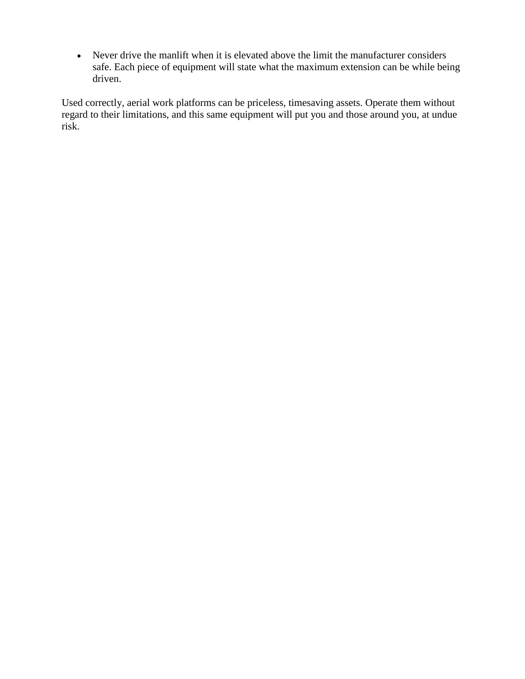• Never drive the manlift when it is elevated above the limit the manufacturer considers safe. Each piece of equipment will state what the maximum extension can be while being driven.

Used correctly, aerial work platforms can be priceless, timesaving assets. Operate them without regard to their limitations, and this same equipment will put you and those around you, at undue risk.